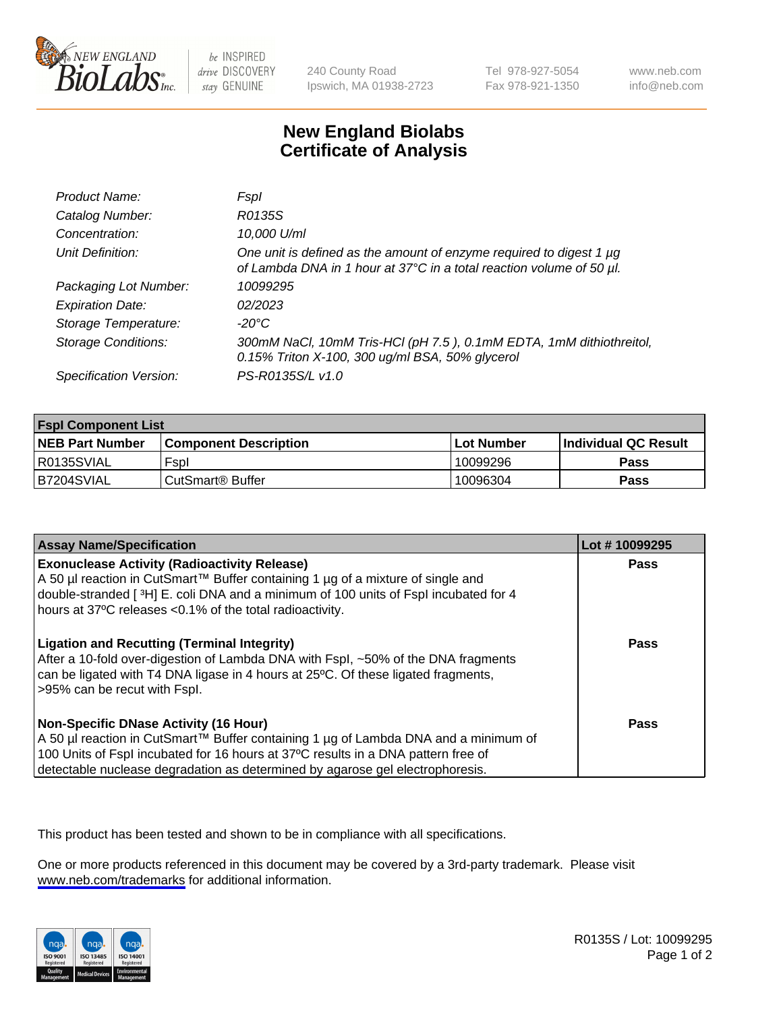

be INSPIRED drive DISCOVERY stay GENUINE

240 County Road Ipswich, MA 01938-2723 Tel 978-927-5054 Fax 978-921-1350

www.neb.com info@neb.com

## **New England Biolabs Certificate of Analysis**

| Product Name:              | Fspl                                                                                                                                        |
|----------------------------|---------------------------------------------------------------------------------------------------------------------------------------------|
| Catalog Number:            | R0135S                                                                                                                                      |
| Concentration:             | 10,000 U/ml                                                                                                                                 |
| Unit Definition:           | One unit is defined as the amount of enzyme required to digest 1 µg<br>of Lambda DNA in 1 hour at 37°C in a total reaction volume of 50 µl. |
| Packaging Lot Number:      | 10099295                                                                                                                                    |
| <b>Expiration Date:</b>    | 02/2023                                                                                                                                     |
| Storage Temperature:       | -20°C                                                                                                                                       |
| <b>Storage Conditions:</b> | 300mM NaCl, 10mM Tris-HCl (pH 7.5), 0.1mM EDTA, 1mM dithiothreitol,<br>0.15% Triton X-100, 300 ug/ml BSA, 50% glycerol                      |
| Specification Version:     | PS-R0135S/L v1.0                                                                                                                            |

| <b>Fspl Component List</b> |                              |                   |                             |  |
|----------------------------|------------------------------|-------------------|-----------------------------|--|
| <b>NEB Part Number</b>     | <b>Component Description</b> | <b>Lot Number</b> | <b>Individual QC Result</b> |  |
| R0135SVIAL                 | Fspl                         | 10099296          | Pass                        |  |
| B7204SVIAL                 | ' CutSmart® Buffer_          | 10096304          | Pass                        |  |

| <b>Assay Name/Specification</b>                                                                                                                                                                                                                                                                           | Lot #10099295 |
|-----------------------------------------------------------------------------------------------------------------------------------------------------------------------------------------------------------------------------------------------------------------------------------------------------------|---------------|
| <b>Exonuclease Activity (Radioactivity Release)</b><br>A 50 µl reaction in CutSmart™ Buffer containing 1 µg of a mixture of single and<br>double-stranded [3H] E. coli DNA and a minimum of 100 units of Fspl incubated for 4<br>hours at 37°C releases <0.1% of the total radioactivity.                 | Pass          |
| <b>Ligation and Recutting (Terminal Integrity)</b><br>After a 10-fold over-digestion of Lambda DNA with Fspl, ~50% of the DNA fragments<br>can be ligated with T4 DNA ligase in 4 hours at 25°C. Of these ligated fragments,<br>>95% can be recut with Fspl.                                              | Pass          |
| <b>Non-Specific DNase Activity (16 Hour)</b><br>A 50 µl reaction in CutSmart™ Buffer containing 1 µg of Lambda DNA and a minimum of<br>100 Units of Fspl incubated for 16 hours at 37°C results in a DNA pattern free of<br>detectable nuclease degradation as determined by agarose gel electrophoresis. | Pass          |

This product has been tested and shown to be in compliance with all specifications.

One or more products referenced in this document may be covered by a 3rd-party trademark. Please visit <www.neb.com/trademarks>for additional information.